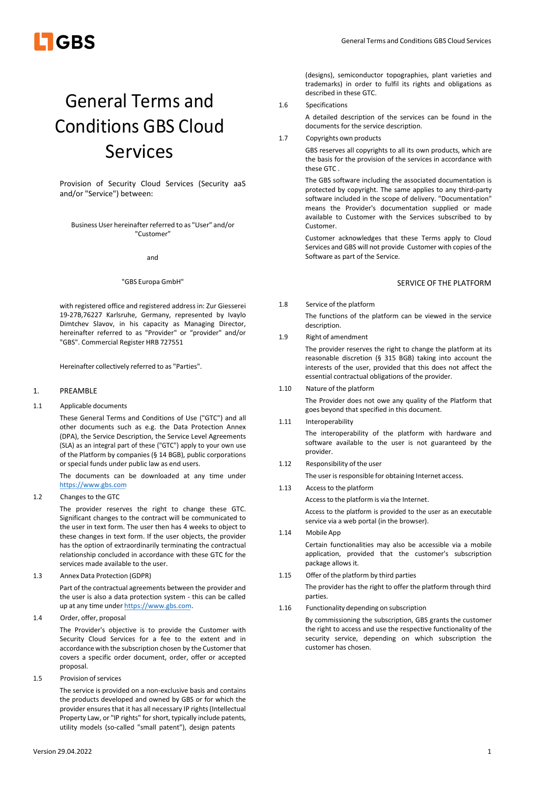

# General Terms and Conditions GBS Cloud Services

Provision of Security Cloud Services (Security aaS and/or "Service") between:

Business User hereinafter referred to as "User" and/or "Customer"

and

# "GBS Europa GmbH"

with registered office and registered address in: Zur Giesserei 19-27B,76227 Karlsruhe, Germany, represented by Ivaylo Dimtchev Slavov, in his capacity as Managing Director, hereinafter referred to as "Provider" or "provider" and/or "GBS". Commercial Register HRB 727551

Hereinafter collectively referred to as "Parties".

# 1. PREAMBLE

1.1 Applicable documents

These General Terms and Conditions of Use ("GTC") and all other documents such as e.g. the Data Protection Annex (DPA), the Service Description, the Service Level Agreements (SLA) as an integral part of these ("GTC") apply to your own use of the Platform by companies (§ 14 BGB), public corporations or special funds under public law as end users.

The documents can be downloaded at any time under https://www.gbs.com

1.2 Changes to the GTC

The provider reserves the right to change these GTC. Significant changes to the contract will be communicated to the user in text form. The user then has 4 weeks to object to these changes in text form. If the user objects, the provider has the option of extraordinarily terminating the contractual relationship concluded in accordance with these GTC for the services made available to the user.

1.3 Annex Data Protection (GDPR)

Part of the contractual agreements between the provider and the user is also a data protection system - this can be called up at any time under https://www.gbs.com.

1.4 Order, offer, proposal

The Provider's objective is to provide the Customer with Security Cloud Services for a fee to the extent and in accordance with the subscription chosen by the Customer that covers a specific order document, order, offer or accepted proposal.

1.5 Provision of services

The service is provided on a non-exclusive basis and contains the products developed and owned by GBS or for which the provider ensures that it has all necessary IP rights (Intellectual Property Law, or "IP rights" for short, typically include patents, utility models (so-called "small patent"), design patents

A detailed description of the services can be found in the documents for the service description.

(designs), semiconductor topographies, plant varieties and trademarks) in order to fulfil its rights and obligations as

Copyrights own products

Specifications

described in these GTC.

GBS reserves all copyrights to all its own products, which are the basis for the provision of the services in accordance with these GTC .

The GBS software including the associated documentation is protected by copyright. The same applies to any third-party software included in the scope of delivery. "Documentation" means the Provider's documentation supplied or made available to Customer with the Services subscribed to by Customer.

Customer acknowledges that these Terms apply to Cloud Services and GBS will not provide Customer with copies of the Software as part of the Service.

# SERVICE OF THE PLATFORM

1.8 Service of the platform

The functions of the platform can be viewed in the service description.

1.9 Right of amendment

The provider reserves the right to change the platform at its reasonable discretion (§ 315 BGB) taking into account the interests of the user, provided that this does not affect the essential contractual obligations of the provider.

- 1.10 Nature of the platform The Provider does not owe any quality of the Platform that goes beyond that specified in this document.
- 1.11 Interoperability The interoperability of the platform with hardware and software available to the user is not guaranteed by the provider.
- 1.12 Responsibility of the user

The user is responsible for obtaining Internet access.

1.13 Access to the platform

Access to the platform is via the Internet.

Access to the platform is provided to the user as an executable service via a web portal (in the browser).

1.14 Mobile App

Certain functionalities may also be accessible via a mobile application, provided that the customer's subscription package allows it.

- 1.15 Offer of the platform by third parties
	- The provider has the right to offer the platform through third parties.
- 1.16 Functionality depending on subscription

By commissioning the subscription, GBS grants the customer the right to access and use the respective functionality of the security service, depending on which subscription the customer has chosen.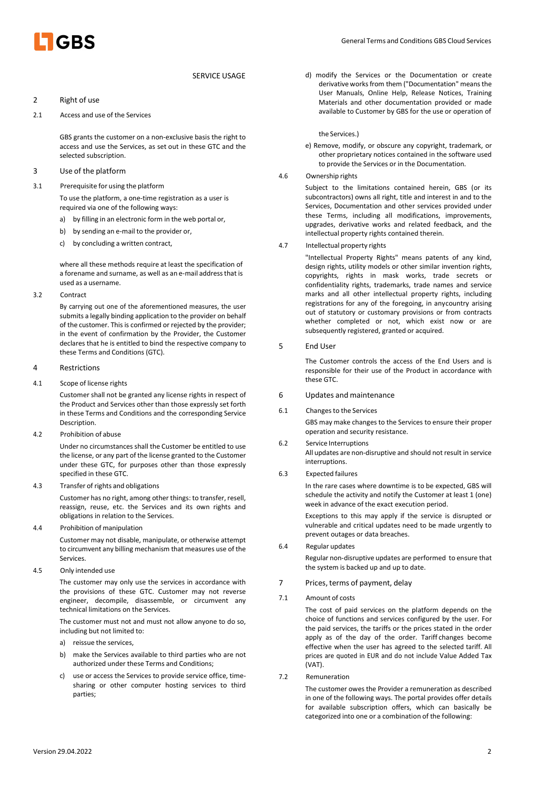

- 2 Right of use
- 2.1 Access and use of the Services

GBS grants the customer on a non-exclusive basis the right to access and use the Services, as set out in these GTC and the selected subscription.

- 3 Use of the platform
- 3.1 Prerequisite for using the platform

To use the platform, a one-time registration as a user is required via one of the following ways:

- a) by filling in an electronic form in the web portal or,
- b) by sending an e-mail to the provider or,
- c) by concluding a written contract,

where all these methods require at least the specification of a forename and surname, as well as an e-mail address that is used as a username.

3.2 Contract

By carrying out one of the aforementioned measures, the user submits a legally binding application to the provider on behalf of the customer. This is confirmed or rejected by the provider; in the event of confirmation by the Provider, the Customer declares that he is entitled to bind the respective company to these Terms and Conditions (GTC).

#### 4 Restrictions

4.1 Scope of license rights

Customer shall not be granted any license rights in respect of the Product and Services other than those expressly set forth in these Terms and Conditions and the corresponding Service Description.

4.2 Prohibition of abuse

Under no circumstances shall the Customer be entitled to use the license, or any part of the license granted to the Customer under these GTC, for purposes other than those expressly specified in these GTC.

4.3 Transfer of rights and obligations

Customer has no right, among other things: to transfer, resell, reassign, reuse, etc. the Services and its own rights and obligations in relation to the Services.

4.4 Prohibition of manipulation

Customer may not disable, manipulate, or otherwise attempt to circumvent any billing mechanism that measures use of the Services.

4.5 Only intended use

The customer may only use the services in accordance with the provisions of these GTC. Customer may not reverse engineer, decompile, disassemble, or circumvent any technical limitations on the Services.

The customer must not and must not allow anyone to do so, including but not limited to:

- a) reissue the services,
- b) make the Services available to third parties who are not authorized under these Terms and Conditions;
- c) use or access the Services to provide service office, timesharing or other computer hosting services to third parties;

SERVICE USAGE d) modify the Services or the Documentation or create derivative works from them ("Documentation" means the User Manuals, Online Help, Release Notices, Training Materials and other documentation provided or made available to Customer by GBS for the use or operation of

the Services.)

- e) Remove, modify, or obscure any copyright, trademark, or other proprietary notices contained in the software used to provide the Services or in the Documentation.
- 4.6 Ownership rights

Subject to the limitations contained herein, GBS (or its subcontractors) owns all right, title and interest in and to the Services, Documentation and other services provided under these Terms, including all modifications, improvements, upgrades, derivative works and related feedback, and the intellectual property rights contained therein.

4.7 Intellectual property rights

"Intellectual Property Rights" means patents of any kind, design rights, utility models or other similar invention rights, copyrights, rights in mask works, trade secrets or confidentiality rights, trademarks, trade names and service marks and all other intellectual property rights, including registrations for any of the foregoing, in any country arising out of statutory or customary provisions or from contracts whether completed or not, which exist now or are subsequently registered, granted or acquired.

5 End User

The Customer controls the access of the End Users and is responsible for their use of the Product in accordance with these GTC.

- 6 Updates and maintenance
- 6.1 Changes to the Services

GBS may make changes to the Services to ensure their proper operation and security resistance.

- 6.2 Service Interruptions All updates are non-disruptive and should not result in service interruptions.
- 6.3 Expected failures

In the rare cases where downtime is to be expected, GBS will schedule the activity and notify the Customer at least 1 (one) week in advance of the exact execution period.

Exceptions to this may apply if the service is disrupted or vulnerable and critical updates need to be made urgently to prevent outages or data breaches.

6.4 Regular updates

Regular non-disruptive updates are performed to ensure that the system is backed up and up to date.

- 7 Prices, terms of payment, delay
- 7.1 Amount of costs

The cost of paid services on the platform depends on the choice of functions and services configured by the user. For the paid services, the tariffs or the prices stated in the order apply as of the day of the order. Tariff changes become effective when the user has agreed to the selected tariff. All prices are quoted in EUR and do not include Value Added Tax (VAT).

7.2 Remuneration

The customer owes the Provider a remuneration as described in one of the following ways. The portal provides offer details for available subscription offers, which can basically be categorized into one or a combination of the following: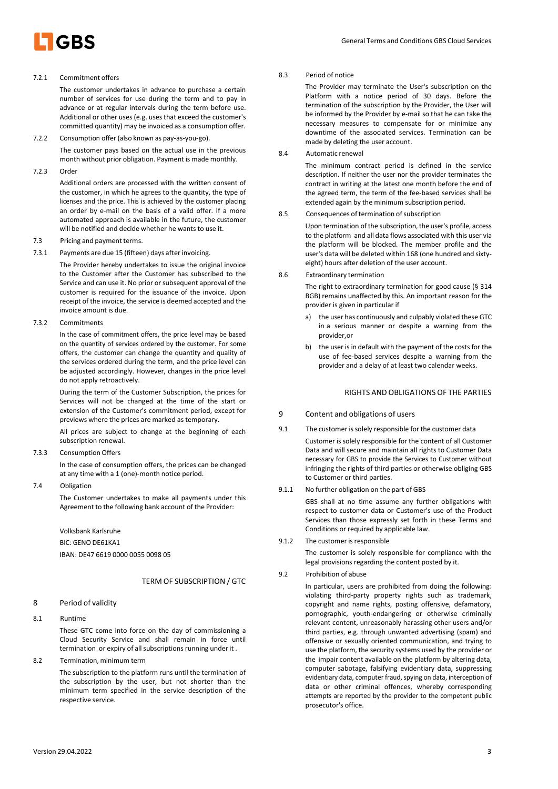

#### 7.2.1 Commitment offers

The customer undertakes in advance to purchase a certain number of services for use during the term and to pay in advance or at regular intervals during the term before use. Additional or other uses (e.g. uses that exceed the customer's committed quantity) may be invoiced as a consumption offer.

7.2.2 Consumption offer (also known as pay-as-you-go).

The customer pays based on the actual use in the previous month without prior obligation. Payment is made monthly.

7.2.3 Order

Additional orders are processed with the written consent of the customer, in which he agrees to the quantity, the type of licenses and the price. This is achieved by the customer placing an order by e-mail on the basis of a valid offer. If a more automated approach is available in the future, the customer will be notified and decide whether he wants to use it.

- 7.3 Pricing and payment terms.
- 7.3.1 Payments are due 15 (fifteen) days after invoicing.

The Provider hereby undertakes to issue the original invoice to the Customer after the Customer has subscribed to the Service and can use it. No prior or subsequent approval of the customer is required for the issuance of the invoice. Upon receipt of the invoice, the service is deemed accepted and the invoice amount is due.

7.3.2 Commitments

In the case of commitment offers, the price level may be based on the quantity of services ordered by the customer. For some offers, the customer can change the quantity and quality of the services ordered during the term, and the price level can be adjusted accordingly. However, changes in the price level do not apply retroactively.

During the term of the Customer Subscription, the prices for Services will not be changed at the time of the start or extension of the Customer's commitment period, except for previews where the prices are marked as temporary.

All prices are subject to change at the beginning of each subscription renewal.

7.3.3 Consumption Offers

In the case of consumption offers, the prices can be changed at any time with a 1 (one)-month notice period.

7.4 Obligation

The Customer undertakes to make all payments under this Agreement to the following bank account of the Provider:

Volksbank Karlsruhe

BIC: GENO DE61KA1 IBAN: DE47 6619 0000 0055 0098 05

# TERM OF SUBSCRIPTION / GTC

- 8 Period of validity
- 8.1 Runtime

These GTC come into force on the day of commissioning a Cloud Security Service and shall remain in force until termination or expiry of all subscriptions running under it .

8.2 Termination, minimum term

The subscription to the platform runs until the termination of the subscription by the user, but not shorter than the minimum term specified in the service description of the respective service.

# 8.3 Period of notice

The Provider may terminate the User's subscription on the Platform with a notice period of 30 days. Before the termination of the subscription by the Provider, the User will be informed by the Provider by e-mail so that he can take the necessary measures to compensate for or minimize any downtime of the associated services. Termination can be made by deleting the user account.

8.4 Automatic renewal

The minimum contract period is defined in the service description. If neither the user nor the provider terminates the contract in writing at the latest one month before the end of the agreed term, the term of the fee-based services shall be extended again by the minimum subscription period.

8.5 Consequences of termination of subscription

Upon termination of the subscription, the user's profile, access to the platform and all data flows associated with this user via the platform will be blocked. The member profile and the user's data will be deleted within 168 (one hundred and sixtyeight) hours after deletion of the user account.

8.6 Extraordinary termination

The right to extraordinary termination for good cause (§ 314 BGB) remains unaffected by this. An important reason for the provider is given in particular if

- a) the user has continuously and culpably violated these GTC in a serious manner or despite a warning from the provider, or
- the user is in default with the payment of the costs for the use of fee-based services despite a warning from the provider and a delay of at least two calendar weeks.

#### RIGHTS AND OBLIGATIONS OF THE PARTIES

- 9 Content and obligations of users
- 9.1 The customer is solely responsible for the customer data
	- Customer is solely responsible for the content of all Customer Data and will secure and maintain all rights to Customer Data necessary for GBS to provide the Services to Customer without infringing the rights of third parties or otherwise obliging GBS to Customer or third parties.
- 9.1.1 No further obligation on the part of GBS

GBS shall at no time assume any further obligations with respect to customer data or Customer's use of the Product Services than those expressly set forth in these Terms and Conditions or required by applicable law.

9.1.2 The customer is responsible

The customer is solely responsible for compliance with the legal provisions regarding the content posted by it.

9.2 Prohibition of abuse

In particular, users are prohibited from doing the following: violating third-party property rights such as trademark, copyright and name rights, posting offensive, defamatory, pornographic, youth-endangering or otherwise criminally relevant content, unreasonably harassing other users and/or third parties, e.g. through unwanted advertising (spam) and offensive or sexually oriented communication, and trying to use the platform, the security systems used by the provider or the impair content available on the platform by altering data, computer sabotage, falsifying evidentiary data, suppressing evidentiary data, computer fraud, spying on data, interception of data or other criminal offences, whereby corresponding attempts are reported by the provider to the competent public prosecutor's office.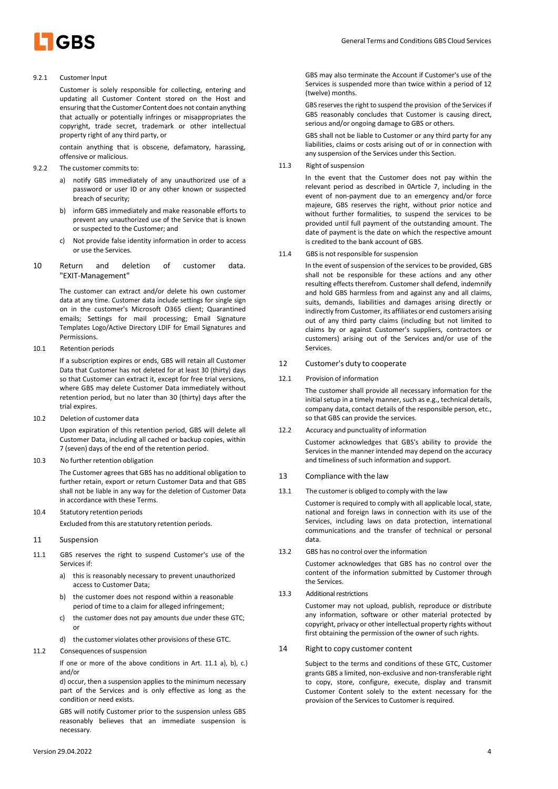

# 9.2.1 Customer Input

Customer is solely responsible for collecting, entering and updating all Customer Content stored on the Host and ensuring that the Customer Content does not contain anything that actually or potentially infringes or misappropriates the copyright, trade secret, trademark or other intellectual property right of any third party, or

contain anything that is obscene, defamatory, harassing, offensive or malicious.

- 9.2.2 The customer commits to:
	- a) notify GBS immediately of any unauthorized use of a password or user ID or any other known or suspected breach of security;
	- b) inform GBS immediately and make reasonable efforts to prevent any unauthorized use of the Service that is known or suspected to the Customer; and
	- c) Not provide false identity information in order to access or use the Services.
- 10 Return and deletion of customer data. "EXIT-Management"

The customer can extract and/or delete his own customer data at any time. Customer data include settings for single sign on in the customer's Microsoft O365 client; Quarantined emails; Settings for mail processing; Email Signature Templates Logo/Active Directory LDIF for Email Signatures and Permissions.

10.1 Retention periods

If a subscription expires or ends, GBS will retain all Customer Data that Customer has not deleted for at least 30 (thirty) days so that Customer can extract it, except for free trial versions, where GBS may delete Customer Data immediately without retention period, but no later than 30 (thirty) days after the trial expires.

10.2 Deletion of customer data

Upon expiration of this retention period, GBS will delete all Customer Data, including all cached or backup copies, within 7 (seven) days of the end of the retention period.

10.3 No further retention obligation

The Customer agrees that GBS has no additional obligation to further retain, export or return Customer Data and that GBS shall not be liable in any way for the deletion of Customer Data in accordance with these Terms.

10.4 Statutory retention periods

Excluded from this are statutory retention periods.

# 11 Suspension

- 11.1 GBS reserves the right to suspend Customer's use of the Services if:
	- a) this is reasonably necessary to prevent unauthorized access to Customer Data;
	- b) the customer does not respond within a reasonable period of time to a claim for alleged infringement;
	- c) the customer does not pay amounts due under these GTC; or
	- d) the customer violates other provisions of these GTC.

#### 11.2 Consequences of suspension

If one or more of the above conditions in Art. 11.1 a), b), c.) and/or

d) occur, then a suspension applies to the minimum necessary part of the Services and is only effective as long as the condition or need exists.

GBS will notify Customer prior to the suspension unless GBS reasonably believes that an immediate suspension is necessary.

GBS may also terminate the Account if Customer's use of the Services is suspended more than twice within a period of 12 (twelve) months.

GBS reserves the right to suspend the provision of the Services if GBS reasonably concludes that Customer is causing direct, serious and/or ongoing damage to GBS or others.

GBS shall not be liable to Customer or any third party for any liabilities, claims or costs arising out of or in connection with any suspension of the Services under this Section.

11.3 Right of suspension

In the event that the Customer does not pay within the relevant period as described in 0Article 7, including in the event of non-payment due to an emergency and/or force majeure, GBS reserves the right, without prior notice and without further formalities, to suspend the services to be provided until full payment of the outstanding amount. The date of payment is the date on which the respective amount is credited to the bank account of GBS.

11.4 GBS is not responsible for suspension

In the event of suspension of the services to be provided, GBS shall not be responsible for these actions and any other resulting effects therefrom. Customer shall defend, indemnify and hold GBS harmless from and against any and all claims, suits, demands, liabilities and damages arising directly or indirectly from Customer, its affiliates or end customers arising out of any third party claims (including but not limited to claims by or against Customer's suppliers, contractors or customers) arising out of the Services and/or use of the Services.

# 12 Customer's duty to cooperate

12.1 Provision of information

The customer shall provide all necessary information for the initial setup in a timely manner, such as e.g., technical details, company data, contact details of the responsible person, etc., so that GBS can provide the services.

12.2 Accuracy and punctuality of information

Customer acknowledges that GBS's ability to provide the Services in the manner intended may depend on the accuracy and timeliness of such information and support.

- 13 Compliance with the law
- The customer is obliged to comply with the law

Customer is required to comply with all applicable local, state, national and foreign laws in connection with its use of the Services, including laws on data protection, international communications and the transfer of technical or personal data.

13.2 GBS has no control over the information

Customer acknowledges that GBS has no control over the content of the information submitted by Customer through the Services.

13.3 Additional restrictions

Customer may not upload, publish, reproduce or distribute any information, software or other material protected by copyright, privacy or other intellectual property rights without first obtaining the permission of the owner of such rights.

## 14 Right to copy customer content

Subject to the terms and conditions of these GTC, Customer grants GBS a limited, non-exclusive and non-transferable right to copy, store, configure, execute, display and transmit Customer Content solely to the extent necessary for the provision of the Services to Customer is required.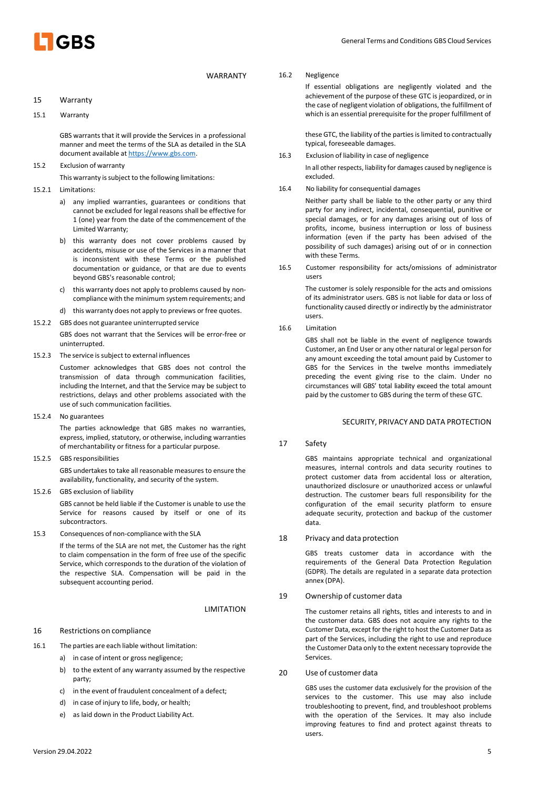

#### 15 Warranty

15.1 Warranty

GBS warrants that it will provide the Services in a professional manner and meet the terms of the SLA as detailed in the SLA document available at https://www.gbs.com.

15.2 Exclusion of warranty

This warranty is subject to the following limitations:

15.2.1 Limitations:

- a) any implied warranties, guarantees or conditions that cannot be excluded for legal reasons shall be effective for 1 (one) year from the date of the commencement of the Limited Warranty;
- b) this warranty does not cover problems caused by accidents, misuse or use of the Services in a manner that is inconsistent with these Terms or the published documentation or guidance, or that are due to events beyond GBS's reasonable control;
- c) this warranty does not apply to problems caused by noncompliance with the minimum system requirements; and
- this warranty does not apply to previews or free quotes.
- 15.2.2 GBS does not guarantee uninterrupted service

GBS does not warrant that the Services will be error-free or uninterrupted.

15.2.3 The service is subject to external influences

Customer acknowledges that GBS does not control the transmission of data through communication facilities, including the Internet, and that the Service may be subject to restrictions, delays and other problems associated with the use of such communication facilities.

15.2.4 No guarantees

The parties acknowledge that GBS makes no warranties, express, implied, statutory, or otherwise, including warranties of merchantability or fitness for a particular purpose.

15.2.5 GBS responsibilities

GBS undertakes to take all reasonable measures to ensure the availability, functionality, and security of the system.

15.2.6 GBS exclusion of liability

GBS cannot be held liable if the Customer is unable to use the Service for reasons caused by itself or one of its subcontractors.

15.3 Consequences of non-compliance with the SLA

If the terms of the SLA are not met, the Customer has the right to claim compensation in the form of free use of the specific Service, which corresponds to the duration of the violation of the respective SLA. Compensation will be paid in the subsequent accounting period.

#### **LIMITATION**

# 16 Restrictions on compliance

- 16.1 The parties are each liable without limitation:
	- a) in case of intent or gross negligence;
	- b) to the extent of any warranty assumed by the respective party;
	- c) in the event of fraudulent concealment of a defect;
	- d) in case of injury to life, body, or health;
	- e) as laid down in the Product Liability Act.

If essential obligations are negligently violated and the achievement of the purpose of these GTC is jeopardized, or in the case of negligent violation of obligations, the fulfillment of which is an essential prerequisite for the proper fulfillment of

these GTC, the liability of the parties is limited to contractually typical, foreseeable damages.

16.3 Exclusion of liability in case of negligence

In all other respects, liability for damages caused by negligence is excluded.

16.4 No liability for consequential damages

Neither party shall be liable to the other party or any third party for any indirect, incidental, consequential, punitive or special damages, or for any damages arising out of loss of profits, income, business interruption or loss of business information (even if the party has been advised of the possibility of such damages) arising out of or in connection with these Terms.

16.5 Customer responsibility for acts/omissions of administrator users

> The customer is solely responsible for the acts and omissions of its administrator users. GBS is not liable for data or loss of functionality caused directly or indirectly by the administrator users.

16.6 Limitation

GBS shall not be liable in the event of negligence towards Customer, an End User or any other natural or legal person for any amount exceeding the total amount paid by Customer to GBS for the Services in the twelve months immediately preceding the event giving rise to the claim. Under no circumstances will GBS' total liability exceed the total amount paid by the customer to GBS during the term of these GTC.

# SECURITY, PRIVACY AND DATA PROTECTION

17 Safety

GBS maintains appropriate technical and organizational measures, internal controls and data security routines to protect customer data from accidental loss or alteration, unauthorized disclosure or unauthorized access or unlawful destruction. The customer bears full responsibility for the configuration of the email security platform to ensure adequate security, protection and backup of the customer data.

18 Privacy and data protection

GBS treats customer data in accordance with the requirements of the General Data Protection Regulation (GDPR). The details are regulated in a separate data protection annex (DPA).

19 Ownership of customer data

The customer retains all rights, titles and interests to and in the customer data. GBS does not acquire any rights to the Customer Data, except for the right to host the Customer Data as part of the Services, including the right to use and reproduce the Customer Data only to the extent necessary toprovide the Services.

20 Use of customer data

GBS uses the customer data exclusively for the provision of the services to the customer. This use may also include troubleshooting to prevent, find, and troubleshoot problems with the operation of the Services. It may also include improving features to find and protect against threats to users.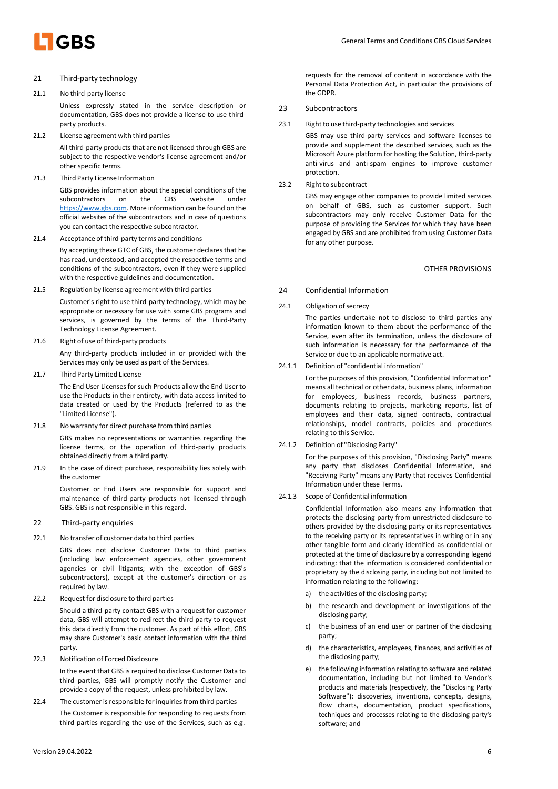

# 21 Third-party technology

#### 21.1 No third-party license

Unless expressly stated in the service description or documentation, GBS does not provide a license to use thirdparty products.

21.2 License agreement with third parties

All third-party products that are not licensed through GBS are subject to the respective vendor's license agreement and/or other specific terms.

21.3 Third Party License Information

GBS provides information about the special conditions of the subcontractors on the GBS website under https://www.gbs.com. More information can be found on the official websites of the subcontractors and in case of questions you can contact the respective subcontractor.

21.4 Acceptance of third-party terms and conditions

By accepting these GTC of GBS, the customer declares that he has read, understood, and accepted the respective terms and conditions of the subcontractors, even if they were supplied with the respective guidelines and documentation.

- 21.5 Regulation by license agreement with third parties Customer's right to use third-party technology, which may be appropriate or necessary for use with some GBS programs and services, is governed by the terms of the Third-Party Technology License Agreement.
- 21.6 Right of use of third-party products Any third-party products included in or provided with the

Services may only be used as part of the Services.

21.7 Third Party Limited License

The End User Licenses for such Products allow the End User to use the Products in their entirety, with data access limited to data created or used by the Products (referred to as the "Limited License").

21.8 No warranty for direct purchase from third parties

GBS makes no representations or warranties regarding the license terms, or the operation of third-party products obtained directly from a third party.

21.9 In the case of direct purchase, responsibility lies solely with the customer

> Customer or End Users are responsible for support and maintenance of third-party products not licensed through GBS. GBS is not responsible in this regard.

- 22 Third-party enquiries
- 22.1 No transfer of customer data to third parties

GBS does not disclose Customer Data to third parties (including law enforcement agencies, other government agencies or civil litigants; with the exception of GBS's subcontractors), except at the customer's direction or as required by law.

22.2 Request for disclosure to third parties

Should a third-party contact GBS with a request for customer data, GBS will attempt to redirect the third party to request this data directly from the customer. As part of this effort, GBS may share Customer's basic contact information with the third party.

22.3 Notification of Forced Disclosure

In the event that GBS is required to disclose Customer Data to third parties, GBS will promptly notify the Customer and provide a copy of the request, unless prohibited by law.

22.4 The customer is responsible for inquiries from third parties The Customer is responsible for responding to requests from third parties regarding the use of the Services, such as e.g.

requests for the removal of content in accordance with the Personal Data Protection Act, in particular the provisions of the GDPR.

- 23 Subcontractors
- 23.1 Right to use third-party technologies and services

GBS may use third-party services and software licenses to provide and supplement the described services, such as the Microsoft Azure platform for hosting the Solution, third-party anti-virus and anti-spam engines to improve customer protection.

23.2 Right to subcontract

GBS may engage other companies to provide limited services on behalf of GBS, such as customer support. Such subcontractors may only receive Customer Data for the purpose of providing the Services for which they have been engaged by GBS and are prohibited from using Customer Data for any other purpose.

# OTHER PROVISIONS

- 24 Confidential Information
- 24.1 Obligation of secrecy

The parties undertake not to disclose to third parties any information known to them about the performance of the Service, even after its termination, unless the disclosure of such information is necessary for the performance of the Service or due to an applicable normative act.

24.1.1 Definition of "confidential information"

For the purposes of this provision, "Confidential Information" means all technical or other data, business plans, information for employees, business records, business partners, documents relating to projects, marketing reports, list of employees and their data, signed contracts, contractual relationships, model contracts, policies and procedures relating to this Service.

24.1.2 Definition of "Disclosing Party"

For the purposes of this provision, "Disclosing Party" means any party that discloses Confidential Information, and "Receiving Party" means any Party that receives Confidential Information under these Terms.

24.1.3 Scope of Confidential information

Confidential Information also means any information that protects the disclosing party from unrestricted disclosure to others provided by the disclosing party or its representatives to the receiving party or its representatives in writing or in any other tangible form and clearly identified as confidential or protected at the time of disclosure by a corresponding legend indicating: that the information is considered confidential or proprietary by the disclosing party, including but not limited to information relating to the following:

- a) the activities of the disclosing party;
- b) the research and development or investigations of the disclosing party;
- the business of an end user or partner of the disclosing party;
- d) the characteristics, employees, finances, and activities of the disclosing party;
- e) the following information relating to software and related documentation, including but not limited to Vendor's products and materials (respectively, the "Disclosing Party Software"): discoveries, inventions, concepts, designs, flow charts, documentation, product specifications, techniques and processes relating to the disclosing party's software; and